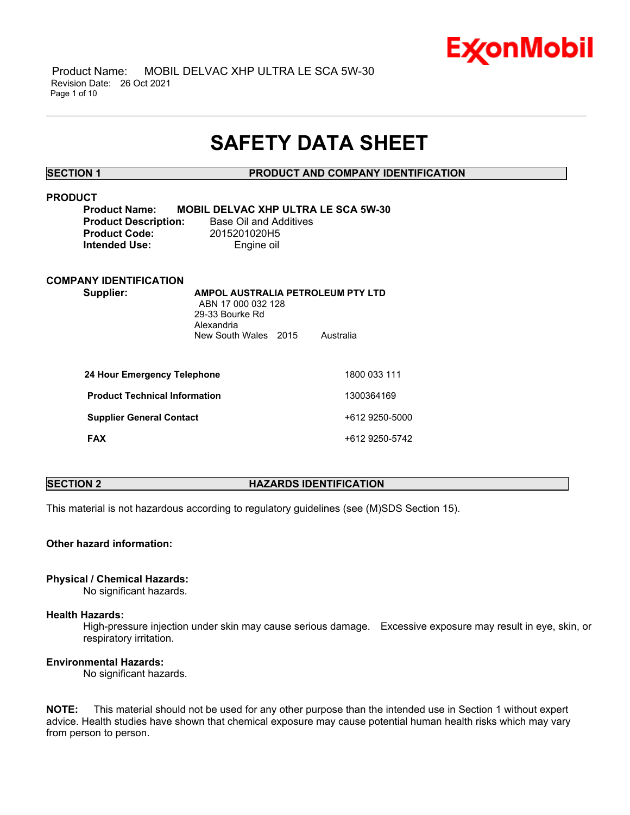

 Product Name: MOBIL DELVAC XHP ULTRA LE SCA 5W-30 Revision Date: 26 Oct 2021 Page 1 of 10

## **SAFETY DATA SHEET**

\_\_\_\_\_\_\_\_\_\_\_\_\_\_\_\_\_\_\_\_\_\_\_\_\_\_\_\_\_\_\_\_\_\_\_\_\_\_\_\_\_\_\_\_\_\_\_\_\_\_\_\_\_\_\_\_\_\_\_\_\_\_\_\_\_\_\_\_\_\_\_\_\_\_\_\_\_\_\_\_\_\_\_\_\_\_\_\_\_\_\_\_\_\_\_\_\_\_\_\_\_\_\_\_\_\_\_\_\_\_\_\_\_\_\_\_\_\_

**SECTION 1 PRODUCT AND COMPANY IDENTIFICATION**

## **PRODUCT**

| <b>Product Name:</b>        | MО |
|-----------------------------|----|
| <b>Product Description:</b> |    |
| <b>Product Code:</b>        |    |
| Intended Use:               |    |

**Product Name: MOBIL DELVAC XHP ULTRA LE SCA 5W-30 Base Oil and Additives Product Code:** 2015201020H5 **Engine oil** 

#### **COMPANY IDENTIFICATION**

**Supplier: AMPOL AUSTRALIA PETROLEUM PTY LTD** ABN 17 000 032 128 29-33 Bourke Rd Alexandria New South Wales 2015 Australia

| 24 Hour Emergency Telephone          | 1800 033 111   |
|--------------------------------------|----------------|
| <b>Product Technical Information</b> | 1300364169     |
| <b>Supplier General Contact</b>      | +612 9250-5000 |
| <b>FAX</b>                           | +612 9250-5742 |

### **SECTION 2 HAZARDS IDENTIFICATION**

This material is not hazardous according to regulatory guidelines (see (M)SDS Section 15).

#### **Other hazard information:**

#### **Physical / Chemical Hazards:**

No significant hazards.

#### **Health Hazards:**

High-pressure injection under skin may cause serious damage. Excessive exposure may result in eye, skin, or respiratory irritation.

### **Environmental Hazards:**

No significant hazards.

**NOTE:** This material should not be used for any other purpose than the intended use in Section 1 without expert advice. Health studies have shown that chemical exposure may cause potential human health risks which may vary from person to person.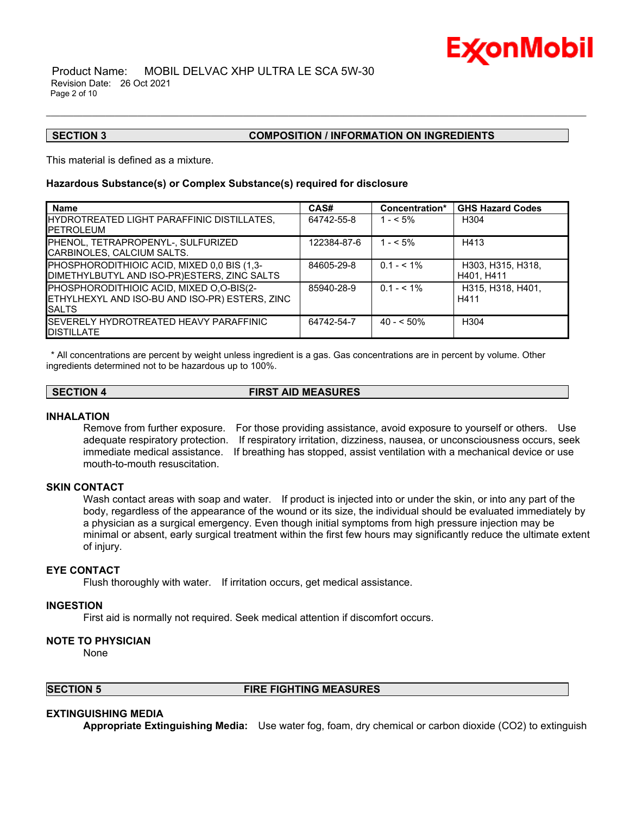

#### Product Name: MOBIL DELVAC XHP ULTRA LE SCA 5W-30 Revision Date: 26 Oct 2021 Page 2 of 10

#### **SECTION 3 COMPOSITION / INFORMATION ON INGREDIENTS**

This material is defined as a mixture.

#### **Hazardous Substance(s) or Complex Substance(s) required for disclosure**

| <b>Name</b>                                                                                                  | CAS#        | Concentration* | <b>GHS Hazard Codes</b>         |
|--------------------------------------------------------------------------------------------------------------|-------------|----------------|---------------------------------|
| HYDROTREATED LIGHT PARAFFINIC DISTILLATES,<br><b>IPETROLEUM</b>                                              | 64742-55-8  | $1 - 5\%$      | H304                            |
| PHENOL. TETRAPROPENYL-. SULFURIZED<br>CARBINOLES, CALCIUM SALTS.                                             | 122384-87-6 | $1 - 5\%$      | H413                            |
| PHOSPHORODITHIOIC ACID, MIXED 0,0 BIS (1,3-<br>DIMETHYLBUTYL AND ISO-PR)ESTERS, ZINC SALTS                   | 84605-29-8  | $0.1 - 5.1\%$  | H303, H315, H318,<br>H401, H411 |
| PHOSPHORODITHIOIC ACID, MIXED O,O-BIS(2-<br>ETHYLHEXYL AND ISO-BU AND ISO-PR) ESTERS, ZINC<br><b>I</b> SALTS | 85940-28-9  | $0.1 - 5.1\%$  | H315, H318, H401.<br>H411       |
| ISEVERELY HYDROTREATED HEAVY PARAFFINIC<br><b>IDISTILLATE</b>                                                | 64742-54-7  | $40 - 50\%$    | H <sub>304</sub>                |

\_\_\_\_\_\_\_\_\_\_\_\_\_\_\_\_\_\_\_\_\_\_\_\_\_\_\_\_\_\_\_\_\_\_\_\_\_\_\_\_\_\_\_\_\_\_\_\_\_\_\_\_\_\_\_\_\_\_\_\_\_\_\_\_\_\_\_\_\_\_\_\_\_\_\_\_\_\_\_\_\_\_\_\_\_\_\_\_\_\_\_\_\_\_\_\_\_\_\_\_\_\_\_\_\_\_\_\_\_\_\_\_\_\_\_\_\_\_

\* All concentrations are percent by weight unless ingredient is a gas. Gas concentrations are in percent by volume. Other ingredients determined not to be hazardous up to 100%.

**SECTION 4 FIRST AID MEASURES**

#### **INHALATION**

Remove from further exposure. For those providing assistance, avoid exposure to yourself or others. Use adequate respiratory protection. If respiratory irritation, dizziness, nausea, or unconsciousness occurs, seek immediate medical assistance. If breathing has stopped, assist ventilation with a mechanical device or use mouth-to-mouth resuscitation.

#### **SKIN CONTACT**

Wash contact areas with soap and water. If product is injected into or under the skin, or into any part of the body, regardless of the appearance of the wound or its size, the individual should be evaluated immediately by a physician as a surgical emergency. Even though initial symptoms from high pressure injection may be minimal or absent, early surgical treatment within the first few hours may significantly reduce the ultimate extent of injury.

#### **EYE CONTACT**

Flush thoroughly with water. If irritation occurs, get medical assistance.

#### **INGESTION**

First aid is normally not required. Seek medical attention if discomfort occurs.

#### **NOTE TO PHYSICIAN**

None

#### **SECTION 5 FIRE FIGHTING MEASURES**

#### **EXTINGUISHING MEDIA**

**Appropriate Extinguishing Media:** Use water fog, foam, dry chemical or carbon dioxide (CO2) to extinguish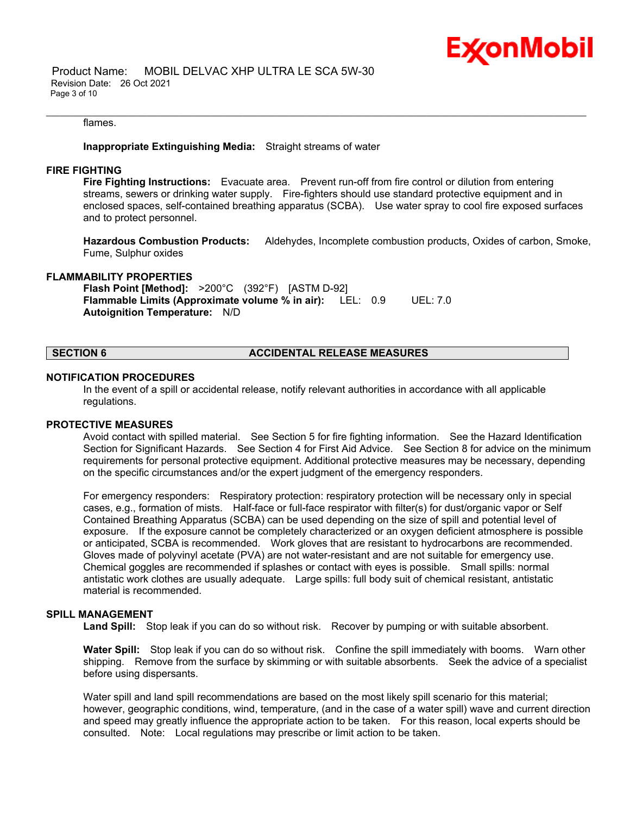#### flames.

#### **Inappropriate Extinguishing Media:** Straight streams of water

#### **FIRE FIGHTING**

**Fire Fighting Instructions:** Evacuate area. Prevent run-off from fire control or dilution from entering streams, sewers or drinking water supply. Fire-fighters should use standard protective equipment and in enclosed spaces, self-contained breathing apparatus (SCBA). Use water spray to cool fire exposed surfaces and to protect personnel.

\_\_\_\_\_\_\_\_\_\_\_\_\_\_\_\_\_\_\_\_\_\_\_\_\_\_\_\_\_\_\_\_\_\_\_\_\_\_\_\_\_\_\_\_\_\_\_\_\_\_\_\_\_\_\_\_\_\_\_\_\_\_\_\_\_\_\_\_\_\_\_\_\_\_\_\_\_\_\_\_\_\_\_\_\_\_\_\_\_\_\_\_\_\_\_\_\_\_\_\_\_\_\_\_\_\_\_\_\_\_\_\_\_\_\_\_\_\_

**Hazardous Combustion Products:** Aldehydes, Incomplete combustion products, Oxides of carbon, Smoke, Fume, Sulphur oxides

#### **FLAMMABILITY PROPERTIES**

**Flash Point [Method]:** >200°C (392°F) [ASTM D-92] **Flammable Limits (Approximate volume % in air):** LEL: 0.9 UEL: 7.0 **Autoignition Temperature:** N/D

## **SECTION 6 ACCIDENTAL RELEASE MEASURES**

#### **NOTIFICATION PROCEDURES**

In the event of a spill or accidental release, notify relevant authorities in accordance with all applicable regulations.

#### **PROTECTIVE MEASURES**

Avoid contact with spilled material. See Section 5 for fire fighting information. See the Hazard Identification Section for Significant Hazards. See Section 4 for First Aid Advice. See Section 8 for advice on the minimum requirements for personal protective equipment. Additional protective measures may be necessary, depending on the specific circumstances and/or the expert judgment of the emergency responders.

For emergency responders: Respiratory protection: respiratory protection will be necessary only in special cases, e.g., formation of mists. Half-face or full-face respirator with filter(s) for dust/organic vapor or Self Contained Breathing Apparatus (SCBA) can be used depending on the size of spill and potential level of exposure. If the exposure cannot be completely characterized or an oxygen deficient atmosphere is possible or anticipated, SCBA is recommended. Work gloves that are resistant to hydrocarbons are recommended. Gloves made of polyvinyl acetate (PVA) are not water-resistant and are not suitable for emergency use. Chemical goggles are recommended if splashes or contact with eyes is possible. Small spills: normal antistatic work clothes are usually adequate. Large spills: full body suit of chemical resistant, antistatic material is recommended.

#### **SPILL MANAGEMENT**

**Land Spill:** Stop leak if you can do so without risk. Recover by pumping or with suitable absorbent.

**Water Spill:** Stop leak if you can do so without risk. Confine the spill immediately with booms. Warn other shipping. Remove from the surface by skimming or with suitable absorbents. Seek the advice of a specialist before using dispersants.

Water spill and land spill recommendations are based on the most likely spill scenario for this material; however, geographic conditions, wind, temperature, (and in the case of a water spill) wave and current direction and speed may greatly influence the appropriate action to be taken. For this reason, local experts should be consulted. Note: Local regulations may prescribe or limit action to be taken.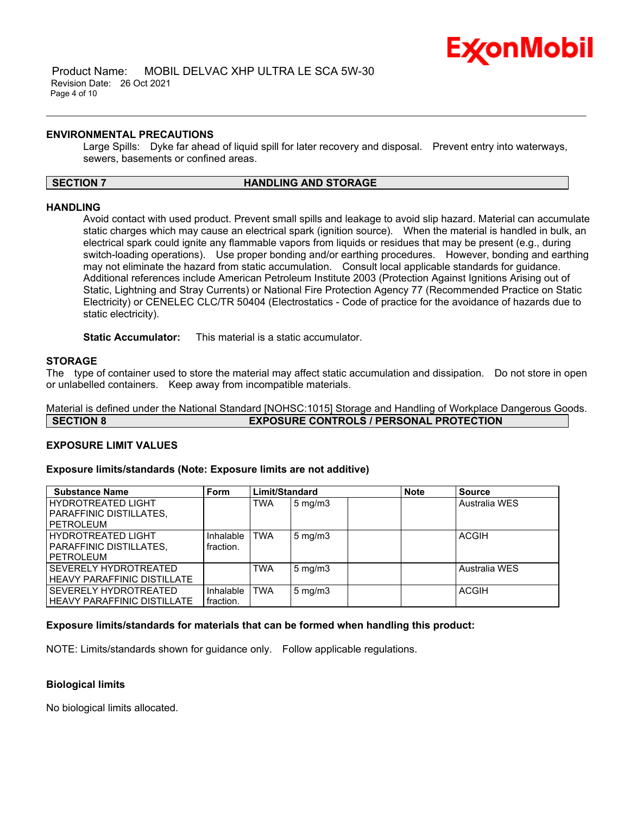

#### **ENVIRONMENTAL PRECAUTIONS**

Large Spills: Dyke far ahead of liquid spill for later recovery and disposal. Prevent entry into waterways, sewers, basements or confined areas.

#### **SECTION 7 HANDLING AND STORAGE**

\_\_\_\_\_\_\_\_\_\_\_\_\_\_\_\_\_\_\_\_\_\_\_\_\_\_\_\_\_\_\_\_\_\_\_\_\_\_\_\_\_\_\_\_\_\_\_\_\_\_\_\_\_\_\_\_\_\_\_\_\_\_\_\_\_\_\_\_\_\_\_\_\_\_\_\_\_\_\_\_\_\_\_\_\_\_\_\_\_\_\_\_\_\_\_\_\_\_\_\_\_\_\_\_\_\_\_\_\_\_\_\_\_\_\_\_\_\_

#### **HANDLING**

Avoid contact with used product. Prevent small spills and leakage to avoid slip hazard. Material can accumulate static charges which may cause an electrical spark (ignition source). When the material is handled in bulk, an electrical spark could ignite any flammable vapors from liquids or residues that may be present (e.g., during switch-loading operations). Use proper bonding and/or earthing procedures. However, bonding and earthing may not eliminate the hazard from static accumulation. Consult local applicable standards for guidance. Additional references include American Petroleum Institute 2003 (Protection Against Ignitions Arising out of Static, Lightning and Stray Currents) or National Fire Protection Agency 77 (Recommended Practice on Static Electricity) or CENELEC CLC/TR 50404 (Electrostatics - Code of practice for the avoidance of hazards due to static electricity).

**Static Accumulator:** This material is a static accumulator.

#### **STORAGE**

The type of container used to store the material may affect static accumulation and dissipation. Do not store in open or unlabelled containers. Keep away from incompatible materials.

Material is defined under the National Standard [NOHSC:1015] Storage and Handling of Workplace Dangerous Goods. **SECTION 8 EXPOSURE CONTROLS / PERSONAL PROTECTION**

#### **EXPOSURE LIMIT VALUES**

#### **Exposure limits/standards (Note: Exposure limits are not additive)**

| <b>Substance Name</b>              | <b>Form</b> | Limit/Standard |              | <b>Note</b> | <b>Source</b> |               |
|------------------------------------|-------------|----------------|--------------|-------------|---------------|---------------|
| <b>HYDROTREATED LIGHT</b>          |             | <b>TWA</b>     | $5$ mg/m $3$ |             |               | Australia WES |
| PARAFFINIC DISTILLATES,            |             |                |              |             |               |               |
| <b>PETROLEUM</b>                   |             |                |              |             |               |               |
| <b>HYDROTREATED LIGHT</b>          | Inhalable   | <b>TWA</b>     | $5$ mg/m $3$ |             |               | <b>ACGIH</b>  |
| PARAFFINIC DISTILLATES,            | fraction.   |                |              |             |               |               |
| PETROLEUM                          |             |                |              |             |               |               |
| SEVERELY HYDROTREATED              |             | <b>TWA</b>     | $5$ mg/m $3$ |             |               | Australia WES |
| <b>HEAVY PARAFFINIC DISTILLATE</b> |             |                |              |             |               |               |
| SEVERELY HYDROTREATED              | Inhalable   | <b>TWA</b>     | $5$ mg/m $3$ |             |               | <b>ACGIH</b>  |
| <b>HEAVY PARAFFINIC DISTILLATE</b> | fraction.   |                |              |             |               |               |

#### **Exposure limits/standards for materials that can be formed when handling this product:**

NOTE: Limits/standards shown for guidance only. Follow applicable regulations.

#### **Biological limits**

No biological limits allocated.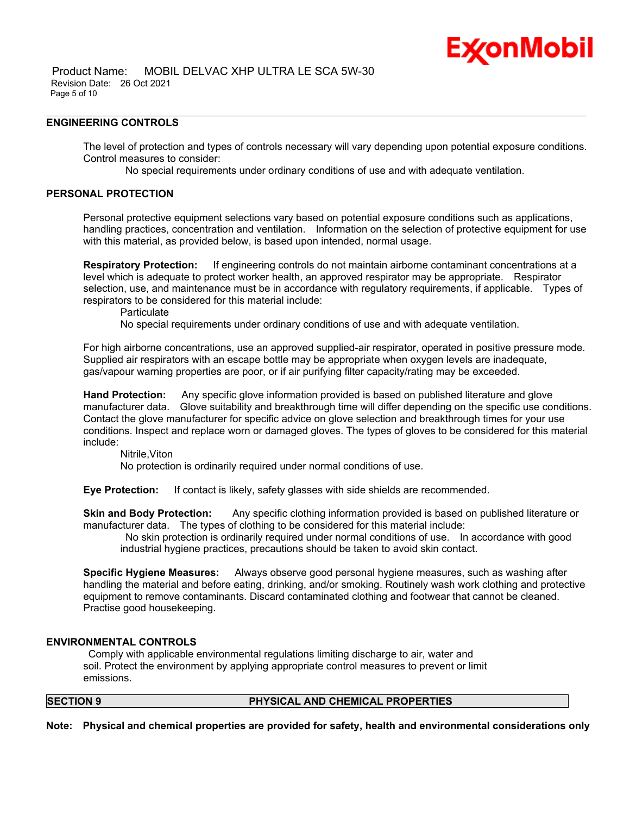### **ENGINEERING CONTROLS**

The level of protection and types of controls necessary will vary depending upon potential exposure conditions. Control measures to consider:

No special requirements under ordinary conditions of use and with adequate ventilation.

\_\_\_\_\_\_\_\_\_\_\_\_\_\_\_\_\_\_\_\_\_\_\_\_\_\_\_\_\_\_\_\_\_\_\_\_\_\_\_\_\_\_\_\_\_\_\_\_\_\_\_\_\_\_\_\_\_\_\_\_\_\_\_\_\_\_\_\_\_\_\_\_\_\_\_\_\_\_\_\_\_\_\_\_\_\_\_\_\_\_\_\_\_\_\_\_\_\_\_\_\_\_\_\_\_\_\_\_\_\_\_\_\_\_\_\_\_\_

### **PERSONAL PROTECTION**

Personal protective equipment selections vary based on potential exposure conditions such as applications, handling practices, concentration and ventilation. Information on the selection of protective equipment for use with this material, as provided below, is based upon intended, normal usage.

**Respiratory Protection:** If engineering controls do not maintain airborne contaminant concentrations at a level which is adequate to protect worker health, an approved respirator may be appropriate. Respirator selection, use, and maintenance must be in accordance with regulatory requirements, if applicable. Types of respirators to be considered for this material include:

**Particulate** 

No special requirements under ordinary conditions of use and with adequate ventilation.

For high airborne concentrations, use an approved supplied-air respirator, operated in positive pressure mode. Supplied air respirators with an escape bottle may be appropriate when oxygen levels are inadequate, gas/vapour warning properties are poor, or if air purifying filter capacity/rating may be exceeded.

**Hand Protection:** Any specific glove information provided is based on published literature and glove manufacturer data. Glove suitability and breakthrough time will differ depending on the specific use conditions. Contact the glove manufacturer for specific advice on glove selection and breakthrough times for your use conditions. Inspect and replace worn or damaged gloves. The types of gloves to be considered for this material include:

Nitrile,Viton

No protection is ordinarily required under normal conditions of use.

**Eye Protection:** If contact is likely, safety glasses with side shields are recommended.

**Skin and Body Protection:** Any specific clothing information provided is based on published literature or manufacturer data. The types of clothing to be considered for this material include:

No skin protection is ordinarily required under normal conditions of use. In accordance with good industrial hygiene practices, precautions should be taken to avoid skin contact.

**Specific Hygiene Measures:** Always observe good personal hygiene measures, such as washing after handling the material and before eating, drinking, and/or smoking. Routinely wash work clothing and protective equipment to remove contaminants. Discard contaminated clothing and footwear that cannot be cleaned. Practise good housekeeping.

#### **ENVIRONMENTAL CONTROLS**

Comply with applicable environmental regulations limiting discharge to air, water and soil. Protect the environment by applying appropriate control measures to prevent or limit emissions.

#### **SECTION 9 PHYSICAL AND CHEMICAL PROPERTIES**

**Note: Physical and chemical properties are provided for safety, health and environmental considerations only**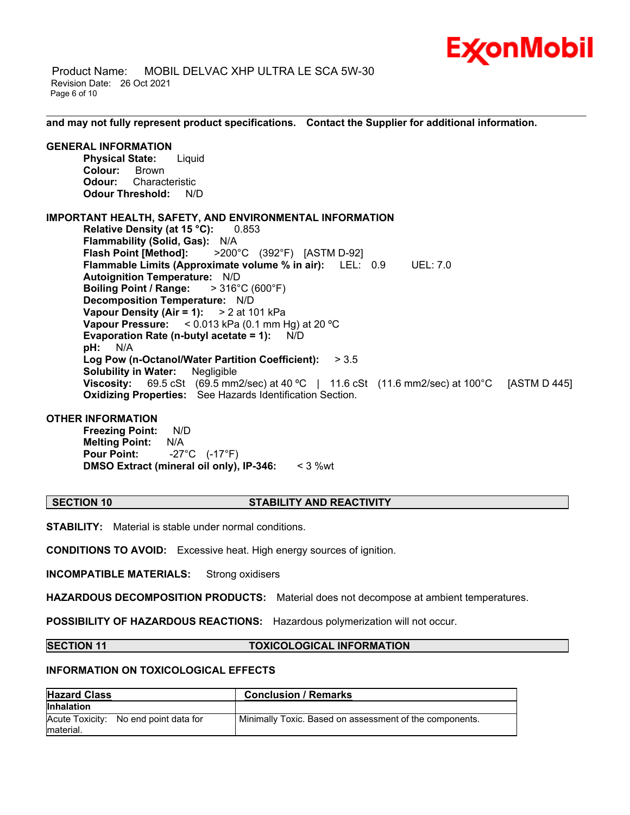

 Product Name: MOBIL DELVAC XHP ULTRA LE SCA 5W-30 Revision Date: 26 Oct 2021 Page 6 of 10

**and may not fully represent product specifications. Contact the Supplier for additional information.**

\_\_\_\_\_\_\_\_\_\_\_\_\_\_\_\_\_\_\_\_\_\_\_\_\_\_\_\_\_\_\_\_\_\_\_\_\_\_\_\_\_\_\_\_\_\_\_\_\_\_\_\_\_\_\_\_\_\_\_\_\_\_\_\_\_\_\_\_\_\_\_\_\_\_\_\_\_\_\_\_\_\_\_\_\_\_\_\_\_\_\_\_\_\_\_\_\_\_\_\_\_\_\_\_\_\_\_\_\_\_\_\_\_\_\_\_\_\_

### **GENERAL INFORMATION**

**Physical State:** Liquid **Colour:** Brown **Odour:** Characteristic **Odour Threshold:** N/D

#### **IMPORTANT HEALTH, SAFETY, AND ENVIRONMENTAL INFORMATION**

**Relative Density (at 15 °C):** 0.853 **Flammability (Solid, Gas):** N/A **Flash Point [Method]:** >200°C (392°F) [ASTM D-92] **Flammable Limits (Approximate volume % in air):** LEL: 0.9 UEL: 7.0 **Autoignition Temperature:** N/D **Boiling Point / Range:** > 316°C (600°F) **Decomposition Temperature:** N/D **Vapour Density (Air = 1):** > 2 at 101 kPa **Vapour Pressure:** < 0.013 kPa (0.1 mm Hg) at 20 ºC **Evaporation Rate (n-butyl acetate = 1):** N/D **pH:** N/A **Log Pow (n-Octanol/Water Partition Coefficient):** > 3.5 **Solubility in Water:** Negligible **Viscosity:** 69.5 cSt (69.5 mm2/sec) at 40 ºC | 11.6 cSt (11.6 mm2/sec) at 100°C [ASTM D 445] **Oxidizing Properties:** See Hazards Identification Section.

#### **OTHER INFORMATION**

**Freezing Point:** N/D **Melting Point:** N/A **Pour Point:** -27°C (-17°F) **DMSO Extract (mineral oil only), IP-346:** < 3 %wt

#### **SECTION 10 STABILITY AND REACTIVITY**

**STABILITY:** Material is stable under normal conditions.

**CONDITIONS TO AVOID:** Excessive heat. High energy sources of ignition.

**INCOMPATIBLE MATERIALS:** Strong oxidisers

**HAZARDOUS DECOMPOSITION PRODUCTS:** Material does not decompose at ambient temperatures.

**POSSIBILITY OF HAZARDOUS REACTIONS:** Hazardous polymerization will not occur.

#### **SECTION 11 TOXICOLOGICAL INFORMATION**

#### **INFORMATION ON TOXICOLOGICAL EFFECTS**

| <b>Hazard Class</b>                                 | <b>Conclusion / Remarks</b>                             |
|-----------------------------------------------------|---------------------------------------------------------|
| <b>Inhalation</b>                                   |                                                         |
| Acute Toxicity: No end point data for<br>Imaterial. | Minimally Toxic. Based on assessment of the components. |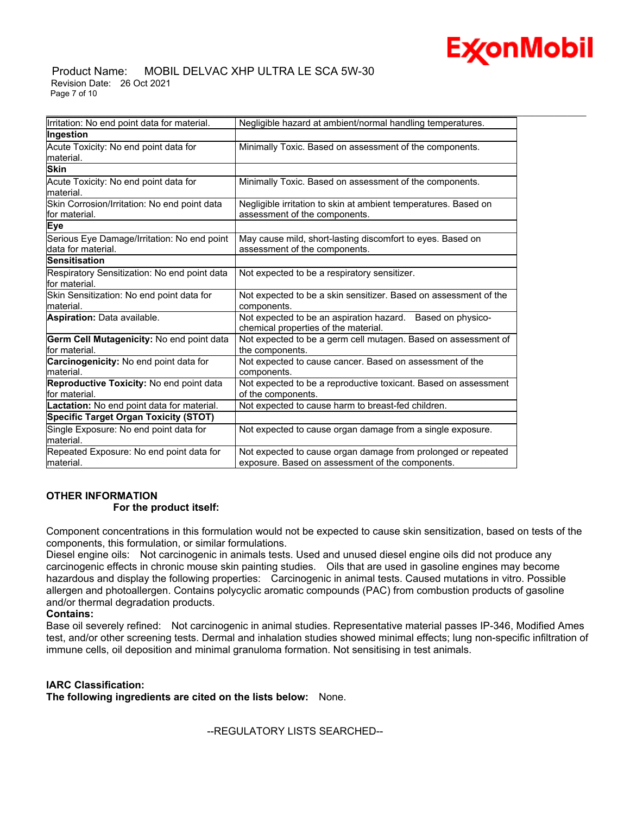#### Product Name: MOBIL DELVAC XHP ULTRA LE SCA 5W-30 Revision Date: 26 Oct 2021 Page 7 of 10

| Irritation: No end point data for material.                       | Negligible hazard at ambient/normal handling temperatures.                                                        |
|-------------------------------------------------------------------|-------------------------------------------------------------------------------------------------------------------|
| Ingestion                                                         |                                                                                                                   |
| Acute Toxicity: No end point data for<br>material.                | Minimally Toxic. Based on assessment of the components.                                                           |
| <b>Skin</b>                                                       |                                                                                                                   |
| Acute Toxicity: No end point data for<br>lmaterial.               | Minimally Toxic. Based on assessment of the components.                                                           |
| Skin Corrosion/Irritation: No end point data<br>lfor material.    | Negligible irritation to skin at ambient temperatures. Based on<br>assessment of the components.                  |
| Eye                                                               |                                                                                                                   |
| Serious Eye Damage/Irritation: No end point<br>data for material. | May cause mild, short-lasting discomfort to eyes. Based on<br>assessment of the components.                       |
| <b>Sensitisation</b>                                              |                                                                                                                   |
| Respiratory Sensitization: No end point data<br>for material.     | Not expected to be a respiratory sensitizer.                                                                      |
| Skin Sensitization: No end point data for<br>lmaterial.           | Not expected to be a skin sensitizer. Based on assessment of the<br>components.                                   |
| Aspiration: Data available.                                       | Not expected to be an aspiration hazard. Based on physico-<br>chemical properties of the material.                |
| Germ Cell Mutagenicity: No end point data<br>for material.        | Not expected to be a germ cell mutagen. Based on assessment of<br>the components.                                 |
| <b>Carcinogenicity:</b> No end point data for<br>lmaterial.       | Not expected to cause cancer. Based on assessment of the<br>components.                                           |
| Reproductive Toxicity: No end point data<br>for material.         | Not expected to be a reproductive toxicant. Based on assessment<br>of the components.                             |
| Lactation: No end point data for material.                        | Not expected to cause harm to breast-fed children.                                                                |
| <b>Specific Target Organ Toxicity (STOT)</b>                      |                                                                                                                   |
| Single Exposure: No end point data for<br>lmaterial.              | Not expected to cause organ damage from a single exposure.                                                        |
| Repeated Exposure: No end point data for<br>material.             | Not expected to cause organ damage from prolonged or repeated<br>exposure. Based on assessment of the components. |

## **OTHER INFORMATION For the product itself:**

Component concentrations in this formulation would not be expected to cause skin sensitization, based on tests of the components, this formulation, or similar formulations.

Diesel engine oils: Not carcinogenic in animals tests. Used and unused diesel engine oils did not produce any carcinogenic effects in chronic mouse skin painting studies. Oils that are used in gasoline engines may become hazardous and display the following properties: Carcinogenic in animal tests. Caused mutations in vitro. Possible allergen and photoallergen. Contains polycyclic aromatic compounds (PAC) from combustion products of gasoline and/or thermal degradation products.

## **Contains:**

Base oil severely refined: Not carcinogenic in animal studies. Representative material passes IP-346, Modified Ames test, and/or other screening tests. Dermal and inhalation studies showed minimal effects; lung non-specific infiltration of immune cells, oil deposition and minimal granuloma formation. Not sensitising in test animals.

## **IARC Classification:**

**The following ingredients are cited on the lists below:** None.

--REGULATORY LISTS SEARCHED--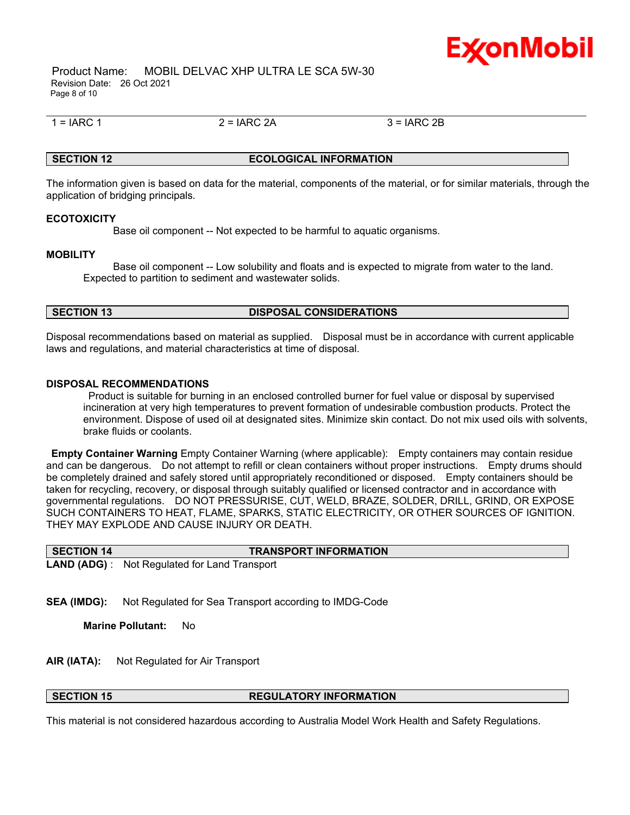

 Product Name: MOBIL DELVAC XHP ULTRA LE SCA 5W-30 Revision Date: 26 Oct 2021 Page 8 of 10

 $1 = IARC 1$  2 =  $IARC 2A$  3 =  $IARC 2B$ 

\_\_\_\_\_\_\_\_\_\_\_\_\_\_\_\_\_\_\_\_\_\_\_\_\_\_\_\_\_\_\_\_\_\_\_\_\_\_\_\_\_\_\_\_\_\_\_\_\_\_\_\_\_\_\_\_\_\_\_\_\_\_\_\_\_\_\_\_\_\_\_\_\_\_\_\_\_\_\_\_\_\_\_\_\_\_\_\_\_\_\_\_\_\_\_\_\_\_\_\_\_\_\_\_\_\_\_\_\_\_\_\_\_\_\_\_\_\_

## **SECTION 12 ECOLOGICAL INFORMATION**

The information given is based on data for the material, components of the material, or for similar materials, through the application of bridging principals.

#### **ECOTOXICITY**

Base oil component -- Not expected to be harmful to aquatic organisms.

#### **MOBILITY**

 Base oil component -- Low solubility and floats and is expected to migrate from water to the land. Expected to partition to sediment and wastewater solids.

#### **SECTION 13 DISPOSAL CONSIDERATIONS**

Disposal recommendations based on material as supplied. Disposal must be in accordance with current applicable laws and regulations, and material characteristics at time of disposal.

#### **DISPOSAL RECOMMENDATIONS**

Product is suitable for burning in an enclosed controlled burner for fuel value or disposal by supervised incineration at very high temperatures to prevent formation of undesirable combustion products. Protect the environment. Dispose of used oil at designated sites. Minimize skin contact. Do not mix used oils with solvents, brake fluids or coolants.

**Empty Container Warning** Empty Container Warning (where applicable): Empty containers may contain residue and can be dangerous. Do not attempt to refill or clean containers without proper instructions. Empty drums should be completely drained and safely stored until appropriately reconditioned or disposed. Empty containers should be taken for recycling, recovery, or disposal through suitably qualified or licensed contractor and in accordance with governmental regulations. DO NOT PRESSURISE, CUT, WELD, BRAZE, SOLDER, DRILL, GRIND, OR EXPOSE SUCH CONTAINERS TO HEAT, FLAME, SPARKS, STATIC ELECTRICITY, OR OTHER SOURCES OF IGNITION. THEY MAY EXPLODE AND CAUSE INJURY OR DEATH.

| SECTION 14   | <b>TRANSPORT INFORMATION</b>     |
|--------------|----------------------------------|
| LAND (ADG) : | Not Regulated for Land Transport |

**SEA (IMDG):** Not Regulated for Sea Transport according to IMDG-Code

**Marine Pollutant:** No

- **AIR (IATA):** Not Regulated for Air Transport
- 

#### **SECTION 15 REGULATORY INFORMATION**

This material is not considered hazardous according to Australia Model Work Health and Safety Regulations.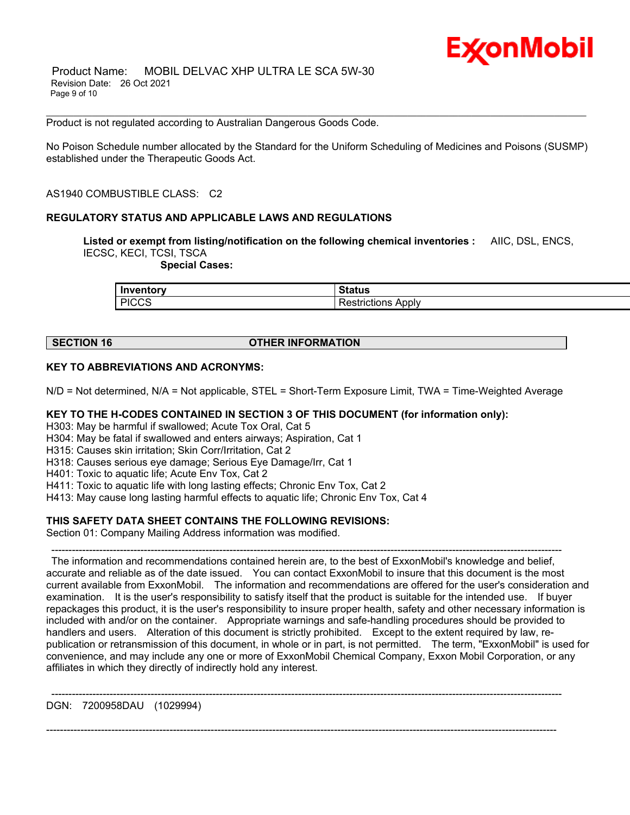Product is not regulated according to Australian Dangerous Goods Code.

No Poison Schedule number allocated by the Standard for the Uniform Scheduling of Medicines and Poisons (SUSMP) established under the Therapeutic Goods Act.

\_\_\_\_\_\_\_\_\_\_\_\_\_\_\_\_\_\_\_\_\_\_\_\_\_\_\_\_\_\_\_\_\_\_\_\_\_\_\_\_\_\_\_\_\_\_\_\_\_\_\_\_\_\_\_\_\_\_\_\_\_\_\_\_\_\_\_\_\_\_\_\_\_\_\_\_\_\_\_\_\_\_\_\_\_\_\_\_\_\_\_\_\_\_\_\_\_\_\_\_\_\_\_\_\_\_\_\_\_\_\_\_\_\_\_\_\_\_

AS1940 COMBUSTIBLE CLASS: C2

#### **REGULATORY STATUS AND APPLICABLE LAWS AND REGULATIONS**

**Listed or exempt from listing/notification on the following chemical inventories :** AIIC, DSL, ENCS, IECSC, KECI, TCSI, TSCA

 **Special Cases:**

| <b>Inventory</b> | <b>Status</b>     |
|------------------|-------------------|
| <b>PICCS</b>     | <b>ADDIV</b>      |
| . ততত            | <b>RESULCIONS</b> |

#### **SECTION 16 OTHER INFORMATION**

#### **KEY TO ABBREVIATIONS AND ACRONYMS:**

N/D = Not determined, N/A = Not applicable, STEL = Short-Term Exposure Limit, TWA = Time-Weighted Average

#### **KEY TO THE H-CODES CONTAINED IN SECTION 3 OF THIS DOCUMENT (for information only):**

H303: May be harmful if swallowed; Acute Tox Oral, Cat 5

H304: May be fatal if swallowed and enters airways; Aspiration, Cat 1

H315: Causes skin irritation; Skin Corr/Irritation, Cat 2

H318: Causes serious eye damage; Serious Eye Damage/Irr, Cat 1

H401: Toxic to aquatic life; Acute Env Tox, Cat 2

H411: Toxic to aquatic life with long lasting effects; Chronic Env Tox, Cat 2

H413: May cause long lasting harmful effects to aquatic life; Chronic Env Tox, Cat 4

#### **THIS SAFETY DATA SHEET CONTAINS THE FOLLOWING REVISIONS:**

Section 01: Company Mailing Address information was modified.

-----------------------------------------------------------------------------------------------------------------------------------------------------

The information and recommendations contained herein are, to the best of ExxonMobil's knowledge and belief, accurate and reliable as of the date issued. You can contact ExxonMobil to insure that this document is the most current available from ExxonMobil. The information and recommendations are offered for the user's consideration and examination. It is the user's responsibility to satisfy itself that the product is suitable for the intended use. If buyer repackages this product, it is the user's responsibility to insure proper health, safety and other necessary information is included with and/or on the container. Appropriate warnings and safe-handling procedures should be provided to handlers and users. Alteration of this document is strictly prohibited. Except to the extent required by law, republication or retransmission of this document, in whole or in part, is not permitted. The term, "ExxonMobil" is used for convenience, and may include any one or more of ExxonMobil Chemical Company, Exxon Mobil Corporation, or any affiliates in which they directly of indirectly hold any interest.

-----------------------------------------------------------------------------------------------------------------------------------------------------

-----------------------------------------------------------------------------------------------------------------------------------------------------

DGN: 7200958DAU (1029994)